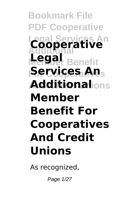**Bookmark File PDF Cooperative Legal Services An Cooperative Legal** Benefit **Services An**s **And Credit Unions Additional Member Benefit For Cooperatives And Credit Unions**

As recognized,

Page 1/27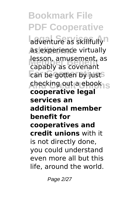**Bookmark File PDF Cooperative** adventure as skillfully<sup>n</sup> **as experience virtually** resson, amusement,<br>capably as covenant **For Cooperatives** can be gotten by just **And Credit Unions** checking out a ebook lesson, amusement, as **cooperative legal services an additional member benefit for cooperatives and credit unions** with it is not directly done, you could understand even more all but this life, around the world.

Page 2/27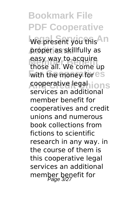**Bookmark File PDF Cooperative** We present you this <sup>An</sup> **Additional** proper as skillfully as **easy way to acquire**<br>those all We come i with the money for es **cooperative legalions** those all. We come up services an additional member benefit for cooperatives and credit unions and numerous book collections from fictions to scientific research in any way. in the course of them is this cooperative legal services an additional member benefit for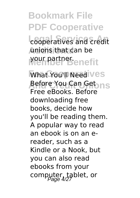**Bookmark File PDF Cooperative** cooperatives and credit **Additional** unions that can be **Member Benefit** your partner.

**What You'll Need Ves A**efore You Can Get <sub>In S</sub> Free eBooks. Before downloading free books, decide how you'll be reading them. A popular way to read an ebook is on an ereader, such as a Kindle or a Nook, but you can also read ebooks from your computer, tablet, or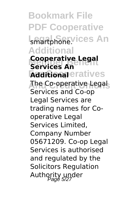**Bookmark File PDF Cooperative** smartphone.vices An **Additional Cooperative Legal Additional**eratives **And Credit Unions** The Co-operative Legal **Services An** Services and Co-op Legal Services are trading names for Cooperative Legal Services Limited, Company Number 05671209. Co-op Legal Services is authorised and regulated by the Solicitors Regulation Authority under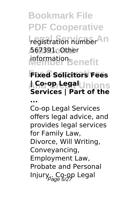**Bookmark File PDF Cooperative** registration number<sup>An</sup> **Additional** 567391. Other **Member Benefit** information.

## **For Cooperatives Fixed Solicitors Fees Aୁନ୍ଧଫା-୧େସୁଟା**Unions **Services | Part of the**

**...**

Co-op Legal Services offers legal advice, and provides legal services for Family Law, Divorce, Will Writing, Conveyancing, Employment Law, Probate and Personal Injury.. Co-op Legal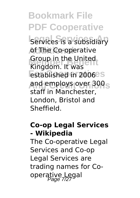**Bookmark File PDF Cooperative Legal Services** is a subsidiary of The Co-operative *Group in the United*<br>Kingdom. It was **Established in 2006**<sup>es</sup> **And Credit Unions** and employs over 300 Group in the United staff in Manchester, London, Bristol and Sheffield.

## **Co-op Legal Services - Wikipedia**

The Co-operative Legal Services and Co-op Legal Services are trading names for Cooperative Legal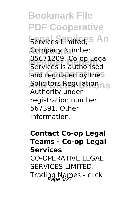**Bookmark File PDF Cooperative Legal Services An** Services Limited, **Additional** Company Number **Member Benefit** Services is authorised and regulated by the<sup>s</sup> **And Credit Unions** Solicitors Regulation 05671209. Co-op Legal Authority under registration number 567391. Other information.

## **Contact Co-op Legal Teams - Co-op Legal Services** CO-OPERATIVE LEGAL SERVICES LIMITED. Trading Names - click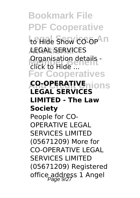**Bookmark File PDF Cooperative Lo Hide Show CO-OP** In **Additional** LEGAL SERVICES **Organisation details -**<br>Click to Hide **For Cooperatives CO-OPERATIVE**<sub>nions</sub> click to Hide ... **LEGAL SERVICES LIMITED - The Law Society** People for CO-OPERATIVE LEGAL SERVICES LIMITED (05671209) More for CO-OPERATIVE LEGAL SERVICES LIMITED (05671209) Registered office address 1 Angel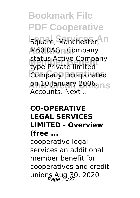**Bookmark File PDF Cooperative Legal Square, Manchester, In Additional** M60 0AG . Company **Member Benefit** type Private limited **Company Incorporated And Credit Unions** on 10 January 2006. status Active Company Accounts. Next ...

#### **CO-OPERATIVE LEGAL SERVICES LIMITED - Overview (free ...**

cooperative legal services an additional member benefit for cooperatives and credit unions Aug 30, 2020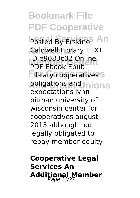**Bookmark File PDF Cooperative Posted By Erskines An Additional** Caldwell Library TEXT **ID e9083c02 Online Eibrary cooperatives And Credit Unions** obligations and PDF Ebook Epub expectations lynn pitman university of wisconsin center for cooperatives august 2015 although not legally obligated to repay member equity

**Cooperative Legal Services An Additional Member** Page 11/27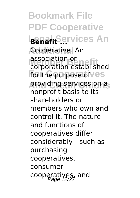**Bookmark File PDF Cooperative Benefit Services An** Cooperative. An **Member Benefit** corporation established **For the purpose of Ves And Credit Unions** providing services on a association or nonprofit basis to its shareholders or members who own and control it. The nature and functions of cooperatives differ considerably—such as purchasing cooperatives, consumer cooperatives, and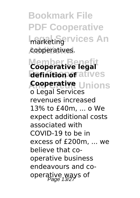**Bookmark File PDF Cooperative** marketing **rvices** An cooperatives.

**Member Ben definition of** atives **Apoperative** Unions **Cooperative legal** o Legal Services revenues increased 13% to £40m, ... o We expect additional costs associated with COVID-19 to be in excess of £200m, ... we believe that cooperative business endeavours and cooperative ways of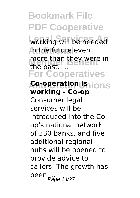**Bookmark File PDF Cooperative** working will be needed **in the future even** more than they were in<br>the nast **For Cooperatives And reration unions** the past. ... **working - Co-op** Consumer legal services will be introduced into the Coop's national network of 330 banks, and five additional regional hubs will be opened to provide advice to callers. The growth has been <sub>Page 14/27</sub>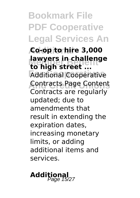**Bookmark File PDF Cooperative Legal Services An Additional Co-op to hire 3,000 lawyers in challenge**<br>to high street **For Cooperatives** Additional Cooperative **And Credit Unions** Contracts Page Content **to high street ...** Contracts are regularly updated; due to amendments that result in extending the expiration dates, increasing monetary limits, or adding additional items and services.

**Additional** Page 15/27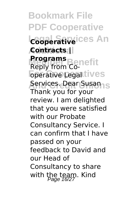**Bookmark File PDF Cooperative Legal Services An Additional Contracts | Programs**<br>**Benivifrom**<br>**Propil For Alive Legal Lives Aervices. Dear Susan**ns Reply from Co-Thank you for your review. I am delighted that you were satisfied with our Probate Consultancy Service. I can confirm that I have passed on your feedback to David and our Head of Consultancy to share with the team. Kind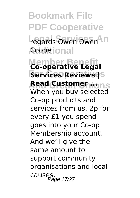**Bookmark File PDF Cooperative** regards Owen Owen <sup>11</sup> **Coope** ional **Member Benefit Co-operative Legal For Cooperatives Services Reviews | Aead Customer**hions When you buy selected Co-op products and services from us, 2p for every £1 you spend goes into your Co-op Membership account. And we'll give the same amount to support community organisations and local causes.<br>Page 17/27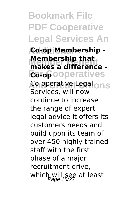**Bookmark File PDF Cooperative Legal Services An**

**Additional Co-op Membership - Membership that**<br>makes a difference -**Forop**ooperatives **Co-operative Legal<sub>ONS</sub> Membership that** Services, will now continue to increase the range of expert legal advice it offers its customers needs and build upon its team of over 450 highly trained staff with the first phase of a major recruitment drive, which will see at least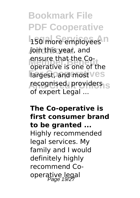**Bookmark File PDF Cooperative 150 more employees n** join this year, and ensure that the Co-<br>operative is one of the **Fargest, and most ves** recognised, providers<sub>1S</sub> ensure that the Coof expert Legal ...

## **The Co-operative is first consumer brand to be granted ...** Highly recommended legal services. My family and I would definitely highly recommend Cooperative legal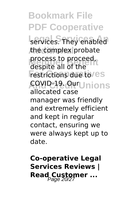**Bookmark File PDF Cooperative** services. They enabled the complex probate process to proceed,<br>despite all of the **Festrictions due to/es And Credit Unions** COVID-19. Our process to proceed, allocated case manager was friendly and extremely efficient and kept in regular contact, ensuring we were always kept up to date.

**Co-operative Legal Services Reviews | Read Customer ...**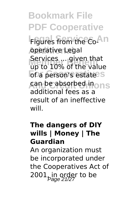**Bookmark File PDF Cooperative Legares from the Co-An operative Legal Member Benefit** up to 10% of the value of a person's estate<sup>s</sup> **And Credit Unions** can be absorbed in Services ... given that additional fees as a result of an ineffective will.

#### **The dangers of DIY wills | Money | The Guardian**

An organization must be incorporated under the Cooperatives Act of 2001, in order to be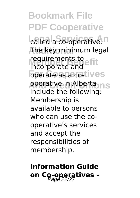**Bookmark File PDF Cooperative** called a co-operative.<sup>n</sup> **Additional** The key minimum legal requirements to<br>incorporate and **operate as a co**tives **operative in Alberta** ns incorporate and include the following: Membership is available to persons who can use the cooperative's services and accept the responsibilities of membership.

# **Information Guide** on Co-operatives -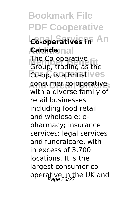**Bookmark File PDF Cooperative Legal Satives in** An **Additional Canada** I me co-operative<br>Group, trading as the Co-op, is a British ves **consumer co-operatives** The Co-operative with a diverse family of retail businesses including food retail and wholesale; epharmacy; insurance services; legal services and funeralcare, with in excess of 3,700 locations. It is the largest consumer cooperative in the UK and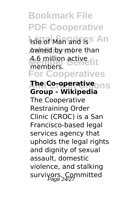**Bookmark File PDF Cooperative Isle of Man and iss An Additional by more than** 4.6 million active<br>members members.

**For Cooperatives**

**And Credit Unions The Co-operative Group - Wikipedia** The Cooperative Restraining Order Clinic (CROC) is a San Francisco-based legal services agency that upholds the legal rights and dignity of sexual assault, domestic violence, and stalking survivors. Committed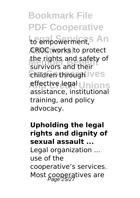**Bookmark File PDF Cooperative** to empowerment, S An **CROC works to protect** the fights and safety<br>survivors and their *<u>Ehildren through ives</u>* **e**ffective legal Unions the rights and safety of assistance, institutional training, and policy advocacy.

**Upholding the legal rights and dignity of sexual assault ...** Legal organization ... use of the cooperative's services. Most cooperatives are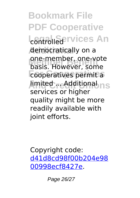**Bookmark File PDF Cooperative Legation Services An Additional** democratically on a one-member, one-voc<br>basis. However, some **For Cooperatives** cooperatives permit a **And Credit Unions** limited ... Additional one-member, one-vote services or higher quality might be more readily available with joint efforts.

Copyright code: [d41d8cd98f00b204e98](/sitemap.xml) [00998ecf8427e.](/sitemap.xml)

Page 26/27